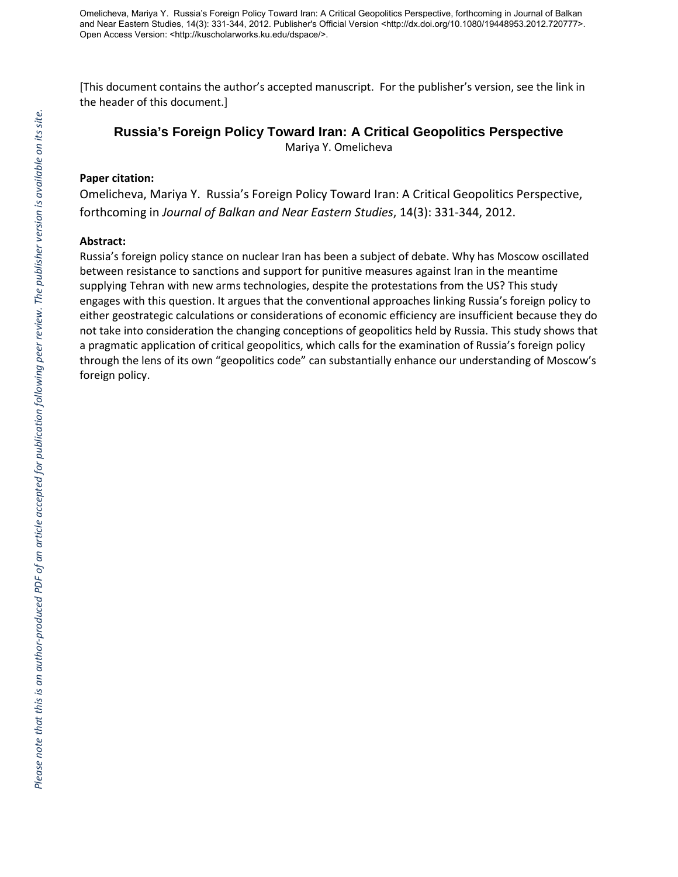[This document contains the author's accepted manuscript. For the publisher's version, see the link in the header of this document.]

# **Russia's Foreign Policy Toward Iran: A Critical Geopolitics Perspective**

Mariya Y. Omelicheva

### **Paper citation:**

Omelicheva, Mariya Y. Russia's Foreign Policy Toward Iran: A Critical Geopolitics Perspective, forthcoming in *Journal of Balkan and Near Eastern Studies*, 14(3): 331-344, 2012.

### **Abstract:**

Russia's foreign policy stance on nuclear Iran has been a subject of debate. Why has Moscow oscillated between resistance to sanctions and support for punitive measures against Iran in the meantime supplying Tehran with new arms technologies, despite the protestations from the US? This study engages with this question. It argues that the conventional approaches linking Russia's foreign policy to either geostrategic calculations or considerations of economic efficiency are insufficient because they do not take into consideration the changing conceptions of geopolitics held by Russia. This study shows that a pragmatic application of critical geopolitics, which calls for the examination of Russia's foreign policy through the lens of its own "geopolitics code" can substantially enhance our understanding of Moscow's foreign policy.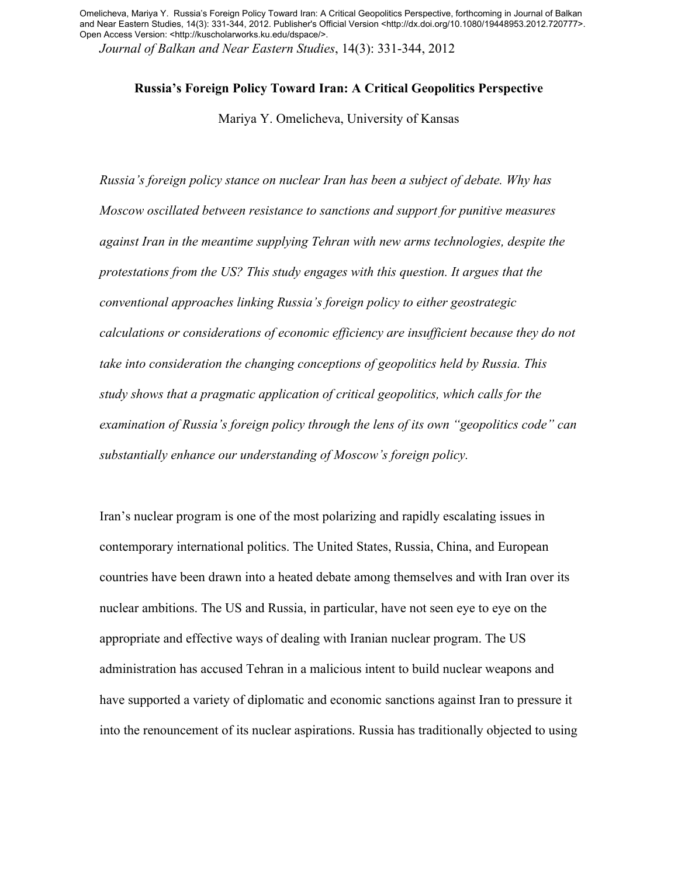*Journal of Balkan and Near Eastern Studies*, 14(3): 331-344, 2012

# **Russia's Foreign Policy Toward Iran: A Critical Geopolitics Perspective**

Mariya Y. Omelicheva, University of Kansas

*Russia's foreign policy stance on nuclear Iran has been a subject of debate. Why has Moscow oscillated between resistance to sanctions and support for punitive measures against Iran in the meantime supplying Tehran with new arms technologies, despite the protestations from the US? This study engages with this question. It argues that the conventional approaches linking Russia's foreign policy to either geostrategic calculations or considerations of economic efficiency are insufficient because they do not take into consideration the changing conceptions of geopolitics held by Russia. This study shows that a pragmatic application of critical geopolitics, which calls for the examination of Russia's foreign policy through the lens of its own "geopolitics code" can substantially enhance our understanding of Moscow's foreign policy.*

Iran's nuclear program is one of the most polarizing and rapidly escalating issues in contemporary international politics. The United States, Russia, China, and European countries have been drawn into a heated debate among themselves and with Iran over its nuclear ambitions. The US and Russia, in particular, have not seen eye to eye on the appropriate and effective ways of dealing with Iranian nuclear program. The US administration has accused Tehran in a malicious intent to build nuclear weapons and have supported a variety of diplomatic and economic sanctions against Iran to pressure it into the renouncement of its nuclear aspirations. Russia has traditionally objected to using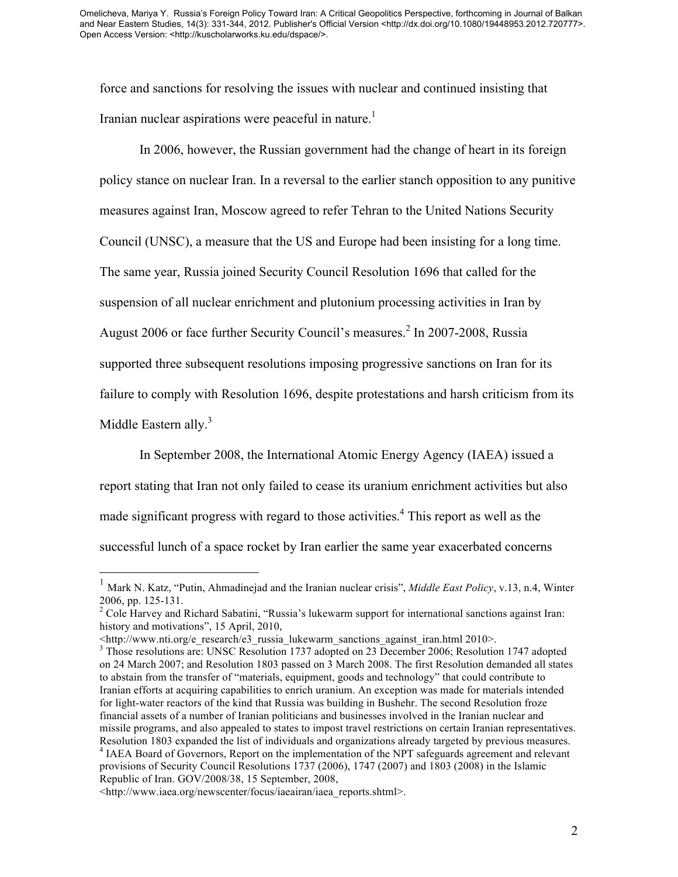force and sanctions for resolving the issues with nuclear and continued insisting that Iranian nuclear aspirations were peaceful in nature.<sup>1</sup>

In 2006, however, the Russian government had the change of heart in its foreign policy stance on nuclear Iran. In a reversal to the earlier stanch opposition to any punitive measures against Iran, Moscow agreed to refer Tehran to the United Nations Security Council (UNSC), a measure that the US and Europe had been insisting for a long time. The same year, Russia joined Security Council Resolution 1696 that called for the suspension of all nuclear enrichment and plutonium processing activities in Iran by August 2006 or face further Security Council's measures. <sup>2</sup> In 2007-2008, Russia supported three subsequent resolutions imposing progressive sanctions on Iran for its failure to comply with Resolution 1696, despite protestations and harsh criticism from its Middle Eastern ally.<sup>3</sup>

In September 2008, the International Atomic Energy Agency (IAEA) issued a report stating that Iran not only failed to cease its uranium enrichment activities but also made significant progress with regard to those activities.<sup>4</sup> This report as well as the successful lunch of a space rocket by Iran earlier the same year exacerbated concerns

 <sup>1</sup> Mark N. Katz, "Putin, Ahmadinejad and the Iranian nuclear crisis", *Middle East Policy*, v.13, n.4, Winter 2006, pp. 125-131.<br><sup>2</sup> Cole Harvey and Richard Sabatini, "Russia's lukewarm support for international sanctions against Iran:

history and motivations", 15 April, 2010,

<sup>&</sup>lt;http://www.nti.org/e\_research/e3\_russia\_lukewarm\_sanctions\_against\_iran.html 2010>. <sup>3</sup> Those resolutions are: UNSC Resolution 1737 adopted on 23 December 2006; Resolution 1747 adopted on 24 March 2007; and Resolution 1803 passed on 3 March 2008. The first Resolution demanded all states to abstain from the transfer of "materials, equipment, goods and technology" that could contribute to Iranian efforts at acquiring capabilities to enrich uranium. An exception was made for materials intended for light-water reactors of the kind that Russia was building in Bushehr. The second Resolution froze financial assets of a number of Iranian politicians and businesses involved in the Iranian nuclear and missile programs, and also appealed to states to impost travel restrictions on certain Iranian representatives. Resolution 1803 expanded the list of individuals and organizations already targeted by previous measures. 4 IAEA Board of Governors, Report on the implementation of the NPT safeguards agreement and relevant provisions of Security Council Resolutions 1737 (2006), 1747 (2007) and 1803 (2008) in the Islamic Republic of Iran. GOV/2008/38, 15 September, 2008,

<sup>&</sup>lt;http://www.iaea.org/newscenter/focus/iaeairan/iaea\_reports.shtml>.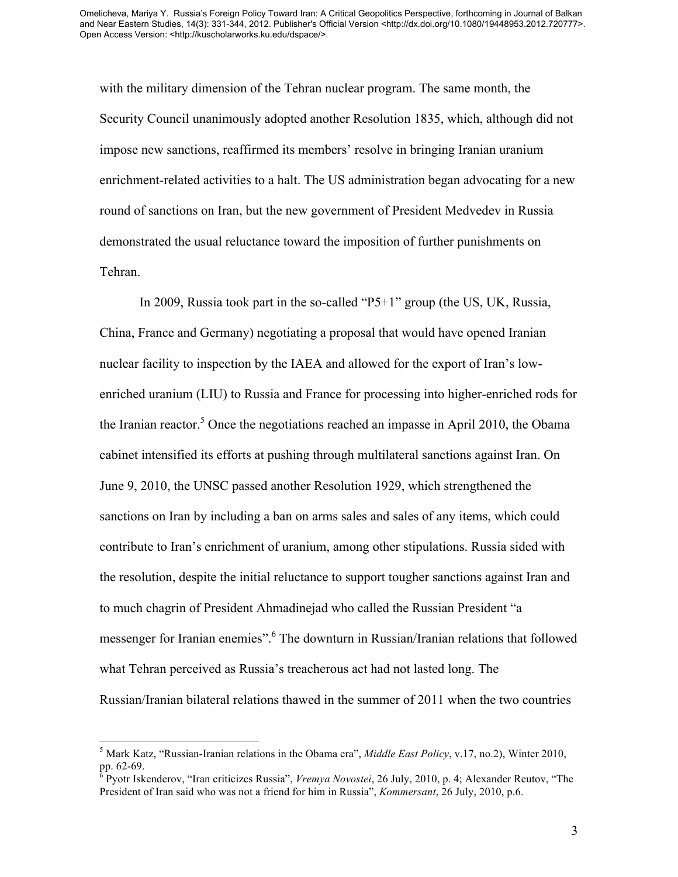with the military dimension of the Tehran nuclear program. The same month, the Security Council unanimously adopted another Resolution 1835, which, although did not impose new sanctions, reaffirmed its members' resolve in bringing Iranian uranium enrichment-related activities to a halt. The US administration began advocating for a new round of sanctions on Iran, but the new government of President Medvedev in Russia demonstrated the usual reluctance toward the imposition of further punishments on Tehran.

In 2009, Russia took part in the so-called "P5+1" group (the US, UK, Russia, China, France and Germany) negotiating a proposal that would have opened Iranian nuclear facility to inspection by the IAEA and allowed for the export of Iran's lowenriched uranium (LIU) to Russia and France for processing into higher-enriched rods for the Iranian reactor. <sup>5</sup> Once the negotiations reached an impasse in April 2010, the Obama cabinet intensified its efforts at pushing through multilateral sanctions against Iran. On June 9, 2010, the UNSC passed another Resolution 1929, which strengthened the sanctions on Iran by including a ban on arms sales and sales of any items, which could contribute to Iran's enrichment of uranium, among other stipulations. Russia sided with the resolution, despite the initial reluctance to support tougher sanctions against Iran and to much chagrin of President Ahmadinejad who called the Russian President "a messenger for Iranian enemies". <sup>6</sup> The downturn in Russian/Iranian relations that followed what Tehran perceived as Russia's treacherous act had not lasted long. The Russian/Iranian bilateral relations thawed in the summer of 2011 when the two countries

<sup>&</sup>lt;sup>5</sup> Mark Katz, "Russian-Iranian relations in the Obama era", *Middle East Policy*, v.17, no.2), Winter 2010, pp. 62-69.

<sup>&</sup>lt;sup>5</sup> Pyotr Iskenderov, "Iran criticizes Russia", *Vremya Novostei*, 26 July, 2010, p. 4; Alexander Reutov, "The President of Iran said who was not a friend for him in Russia", *Kommersant*, 26 July, 2010, p.6.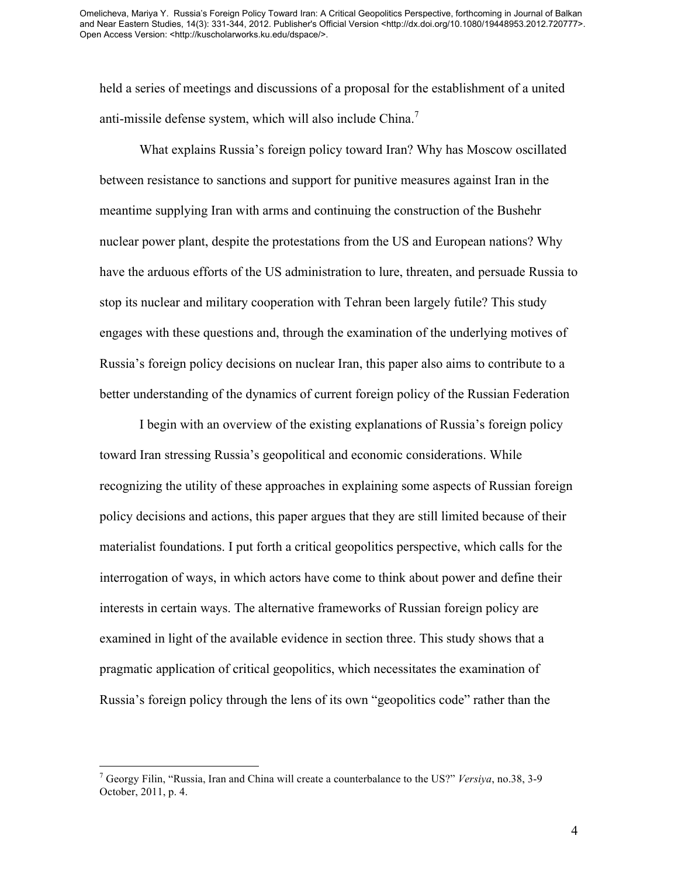held a series of meetings and discussions of a proposal for the establishment of a united anti-missile defense system, which will also include China.<sup>7</sup>

What explains Russia's foreign policy toward Iran? Why has Moscow oscillated between resistance to sanctions and support for punitive measures against Iran in the meantime supplying Iran with arms and continuing the construction of the Bushehr nuclear power plant, despite the protestations from the US and European nations? Why have the arduous efforts of the US administration to lure, threaten, and persuade Russia to stop its nuclear and military cooperation with Tehran been largely futile? This study engages with these questions and, through the examination of the underlying motives of Russia's foreign policy decisions on nuclear Iran, this paper also aims to contribute to a better understanding of the dynamics of current foreign policy of the Russian Federation

I begin with an overview of the existing explanations of Russia's foreign policy toward Iran stressing Russia's geopolitical and economic considerations. While recognizing the utility of these approaches in explaining some aspects of Russian foreign policy decisions and actions, this paper argues that they are still limited because of their materialist foundations. I put forth a critical geopolitics perspective, which calls for the interrogation of ways, in which actors have come to think about power and define their interests in certain ways. The alternative frameworks of Russian foreign policy are examined in light of the available evidence in section three. This study shows that a pragmatic application of critical geopolitics, which necessitates the examination of Russia's foreign policy through the lens of its own "geopolitics code" rather than the

 <sup>7</sup> Georgy Filin, "Russia, Iran and China will create a counterbalance to the US?" *Versiya*, no.38, 3-9 October, 2011, p. 4.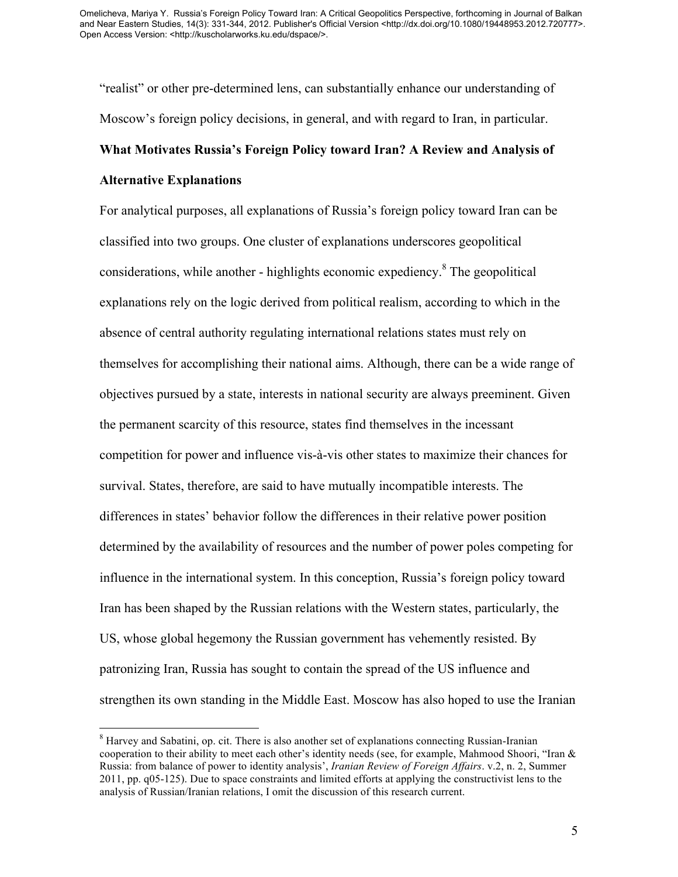"realist" or other pre-determined lens, can substantially enhance our understanding of Moscow's foreign policy decisions, in general, and with regard to Iran, in particular.

### **What Motivates Russia's Foreign Policy toward Iran? A Review and Analysis of**

### **Alternative Explanations**

For analytical purposes, all explanations of Russia's foreign policy toward Iran can be classified into two groups. One cluster of explanations underscores geopolitical considerations, while another - highlights economic expediency.<sup>8</sup> The geopolitical explanations rely on the logic derived from political realism, according to which in the absence of central authority regulating international relations states must rely on themselves for accomplishing their national aims. Although, there can be a wide range of objectives pursued by a state, interests in national security are always preeminent. Given the permanent scarcity of this resource, states find themselves in the incessant competition for power and influence vis-à-vis other states to maximize their chances for survival. States, therefore, are said to have mutually incompatible interests. The differences in states' behavior follow the differences in their relative power position determined by the availability of resources and the number of power poles competing for influence in the international system. In this conception, Russia's foreign policy toward Iran has been shaped by the Russian relations with the Western states, particularly, the US, whose global hegemony the Russian government has vehemently resisted. By patronizing Iran, Russia has sought to contain the spread of the US influence and strengthen its own standing in the Middle East. Moscow has also hoped to use the Iranian

<sup>&</sup>lt;sup>8</sup> Harvey and Sabatini, op. cit. There is also another set of explanations connecting Russian-Iranian cooperation to their ability to meet each other's identity needs (see, for example, Mahmood Shoori, "Iran & Russia: from balance of power to identity analysis', *Iranian Review of Foreign Affairs*. v.2, n. 2, Summer 2011, pp. q05-125). Due to space constraints and limited efforts at applying the constructivist lens to the analysis of Russian/Iranian relations, I omit the discussion of this research current.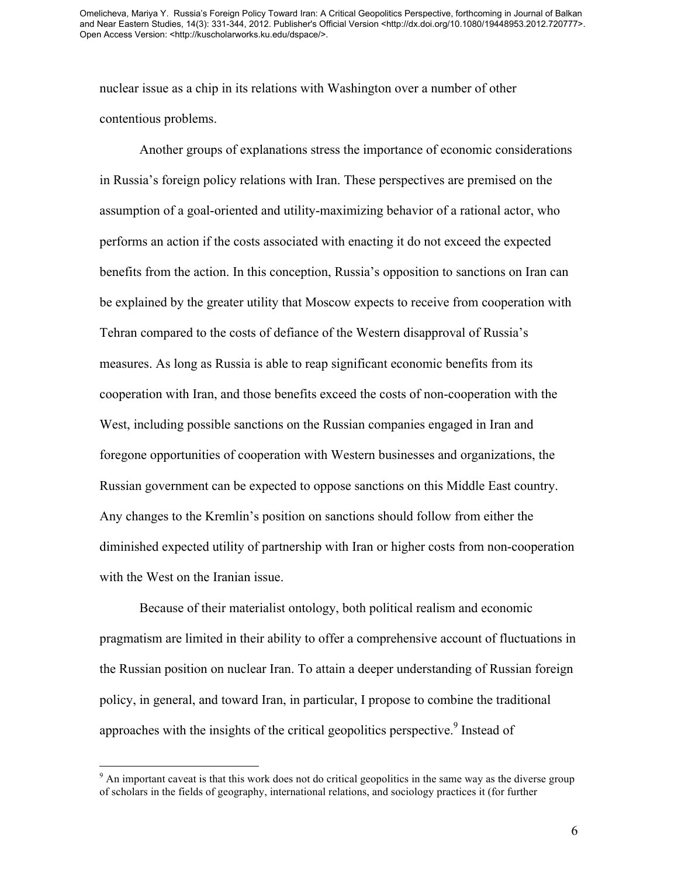nuclear issue as a chip in its relations with Washington over a number of other contentious problems.

Another groups of explanations stress the importance of economic considerations in Russia's foreign policy relations with Iran. These perspectives are premised on the assumption of a goal-oriented and utility-maximizing behavior of a rational actor, who performs an action if the costs associated with enacting it do not exceed the expected benefits from the action. In this conception, Russia's opposition to sanctions on Iran can be explained by the greater utility that Moscow expects to receive from cooperation with Tehran compared to the costs of defiance of the Western disapproval of Russia's measures. As long as Russia is able to reap significant economic benefits from its cooperation with Iran, and those benefits exceed the costs of non-cooperation with the West, including possible sanctions on the Russian companies engaged in Iran and foregone opportunities of cooperation with Western businesses and organizations, the Russian government can be expected to oppose sanctions on this Middle East country. Any changes to the Kremlin's position on sanctions should follow from either the diminished expected utility of partnership with Iran or higher costs from non-cooperation with the West on the Iranian issue.

Because of their materialist ontology, both political realism and economic pragmatism are limited in their ability to offer a comprehensive account of fluctuations in the Russian position on nuclear Iran. To attain a deeper understanding of Russian foreign policy, in general, and toward Iran, in particular, I propose to combine the traditional approaches with the insights of the critical geopolitics perspective.<sup>9</sup> Instead of

<sup>&</sup>lt;sup>9</sup> An important caveat is that this work does not do critical geopolitics in the same way as the diverse group of scholars in the fields of geography, international relations, and sociology practices it (for further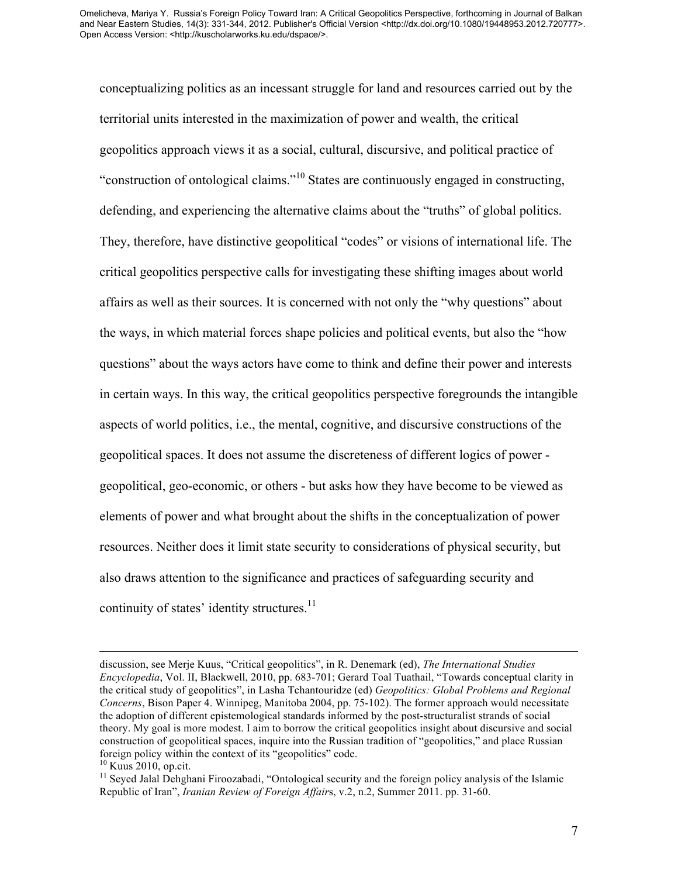conceptualizing politics as an incessant struggle for land and resources carried out by the territorial units interested in the maximization of power and wealth, the critical geopolitics approach views it as a social, cultural, discursive, and political practice of "construction of ontological claims."<sup>10</sup> States are continuously engaged in constructing, defending, and experiencing the alternative claims about the "truths" of global politics. They, therefore, have distinctive geopolitical "codes" or visions of international life. The critical geopolitics perspective calls for investigating these shifting images about world affairs as well as their sources. It is concerned with not only the "why questions" about the ways, in which material forces shape policies and political events, but also the "how questions" about the ways actors have come to think and define their power and interests in certain ways. In this way, the critical geopolitics perspective foregrounds the intangible aspects of world politics, i.e., the mental, cognitive, and discursive constructions of the geopolitical spaces. It does not assume the discreteness of different logics of power geopolitical, geo-economic, or others - but asks how they have become to be viewed as elements of power and what brought about the shifts in the conceptualization of power resources. Neither does it limit state security to considerations of physical security, but also draws attention to the significance and practices of safeguarding security and continuity of states' identity structures.<sup>11</sup>

discussion, see Merje Kuus, "Critical geopolitics", in R. Denemark (ed), *The International Studies Encyclopedia*, Vol. II, Blackwell, 2010, pp. 683-701; Gerard Toal Tuathail, "Towards conceptual clarity in the critical study of geopolitics", in Lasha Tchantouridze (ed) *Geopolitics: Global Problems and Regional Concerns*, Bison Paper 4. Winnipeg, Manitoba 2004, pp. 75-102). The former approach would necessitate the adoption of different epistemological standards informed by the post-structuralist strands of social theory. My goal is more modest. I aim to borrow the critical geopolitics insight about discursive and social construction of geopolitical spaces, inquire into the Russian tradition of "geopolitics," and place Russian foreign policy within the context of its "geopolitics" code.<br><sup>10</sup> Kuus 2010, op.cit.

 $11$  Seyed Jalal Dehghani Firoozabadi, "Ontological security and the foreign policy analysis of the Islamic Republic of Iran", *Iranian Review of Foreign Affair*s, v.2, n.2, Summer 2011. pp. 31-60.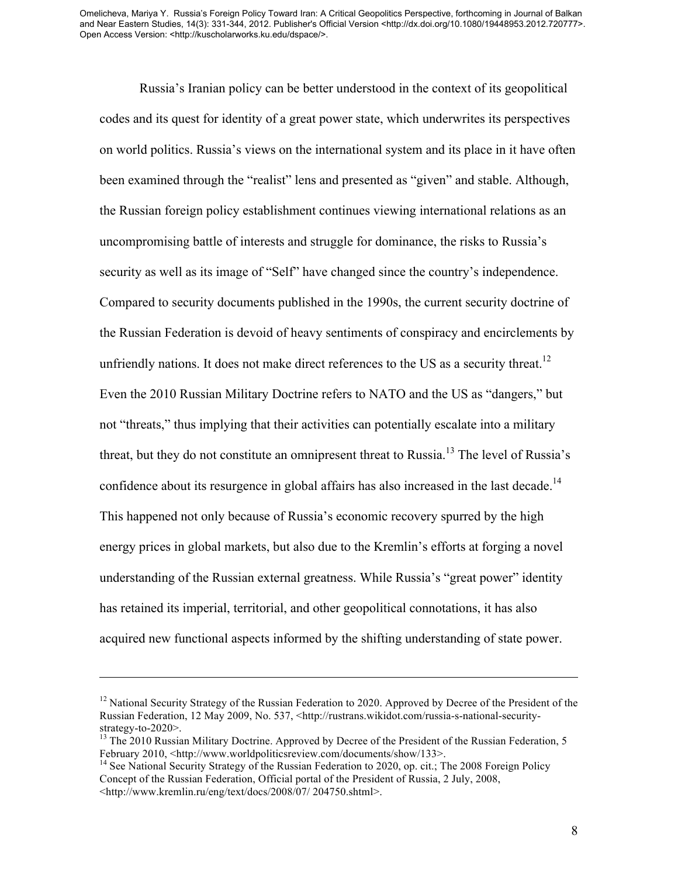Russia's Iranian policy can be better understood in the context of its geopolitical codes and its quest for identity of a great power state, which underwrites its perspectives on world politics. Russia's views on the international system and its place in it have often been examined through the "realist" lens and presented as "given" and stable. Although, the Russian foreign policy establishment continues viewing international relations as an uncompromising battle of interests and struggle for dominance, the risks to Russia's security as well as its image of "Self" have changed since the country's independence. Compared to security documents published in the 1990s, the current security doctrine of the Russian Federation is devoid of heavy sentiments of conspiracy and encirclements by unfriendly nations. It does not make direct references to the US as a security threat.<sup>12</sup> Even the 2010 Russian Military Doctrine refers to NATO and the US as "dangers," but not "threats," thus implying that their activities can potentially escalate into a military threat, but they do not constitute an omnipresent threat to Russia.<sup>13</sup> The level of Russia's confidence about its resurgence in global affairs has also increased in the last decade.<sup>14</sup> This happened not only because of Russia's economic recovery spurred by the high energy prices in global markets, but also due to the Kremlin's efforts at forging a novel understanding of the Russian external greatness. While Russia's "great power" identity has retained its imperial, territorial, and other geopolitical connotations, it has also acquired new functional aspects informed by the shifting understanding of state power.

 $\overline{a}$ 

<sup>&</sup>lt;sup>12</sup> National Security Strategy of the Russian Federation to 2020. Approved by Decree of the President of the Russian Federation, 12 May 2009, No. 537, <http://rustrans.wikidot.com/russia-s-national-security-

strategy-to-2020>.<br><sup>13</sup> The 2010 Russian Military Doctrine. Approved by Decree of the President of the Russian Federation, 5 February 2010, <http://www.worldpoliticsreview.com/documents/show/133>.<br><sup>14</sup> See National Security Strategy of the Russian Federation to 2020, op. cit.; The 2008 Foreign Policy

Concept of the Russian Federation, Official portal of the President of Russia, 2 July, 2008, <http://www.kremlin.ru/eng/text/docs/2008/07/ 204750.shtml>.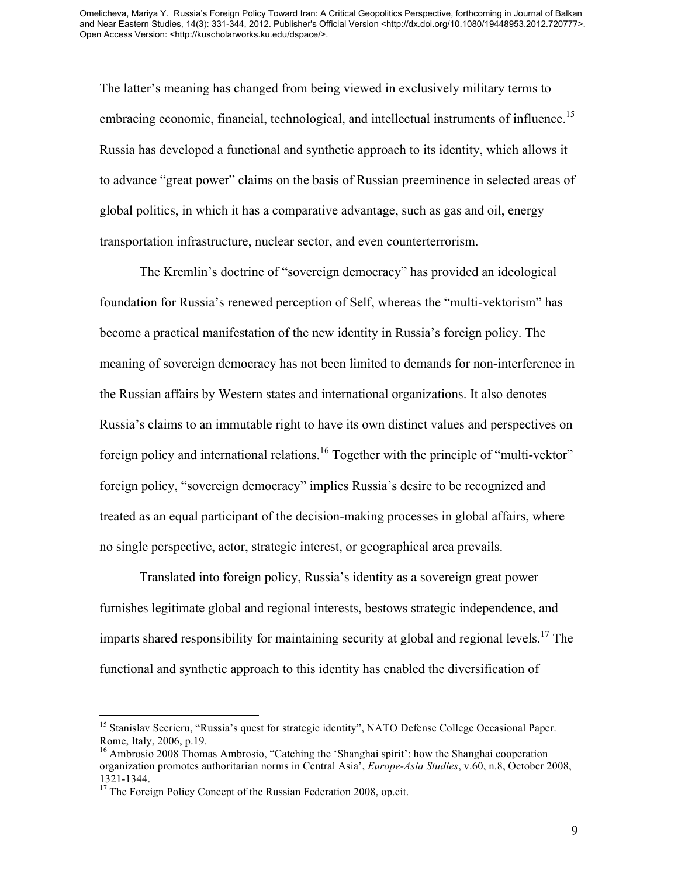The latter's meaning has changed from being viewed in exclusively military terms to embracing economic, financial, technological, and intellectual instruments of influence.<sup>15</sup> Russia has developed a functional and synthetic approach to its identity, which allows it to advance "great power" claims on the basis of Russian preeminence in selected areas of global politics, in which it has a comparative advantage, such as gas and oil, energy transportation infrastructure, nuclear sector, and even counterterrorism.

The Kremlin's doctrine of "sovereign democracy" has provided an ideological foundation for Russia's renewed perception of Self, whereas the "multi-vektorism" has become a practical manifestation of the new identity in Russia's foreign policy. The meaning of sovereign democracy has not been limited to demands for non-interference in the Russian affairs by Western states and international organizations. It also denotes Russia's claims to an immutable right to have its own distinct values and perspectives on foreign policy and international relations.<sup>16</sup> Together with the principle of "multi-vektor" foreign policy, "sovereign democracy" implies Russia's desire to be recognized and treated as an equal participant of the decision-making processes in global affairs, where no single perspective, actor, strategic interest, or geographical area prevails.

Translated into foreign policy, Russia's identity as a sovereign great power furnishes legitimate global and regional interests, bestows strategic independence, and imparts shared responsibility for maintaining security at global and regional levels.<sup>17</sup> The functional and synthetic approach to this identity has enabled the diversification of

<sup>&</sup>lt;sup>15</sup> Stanislav Secrieru, "Russia's quest for strategic identity", NATO Defense College Occasional Paper. Rome, Italy, 2006, p.19. 16<br><sup>16</sup> Ambrosio 2008 Thomas Ambrosio, "Catching the 'Shanghai spirit': how the Shanghai cooperation

organization promotes authoritarian norms in Central Asia', *Europe-Asia Studies*, v.60, n.8, October 2008, 1321-1344.<br><sup>17</sup> The Foreign Policy Concept of the Russian Federation 2008, op.cit.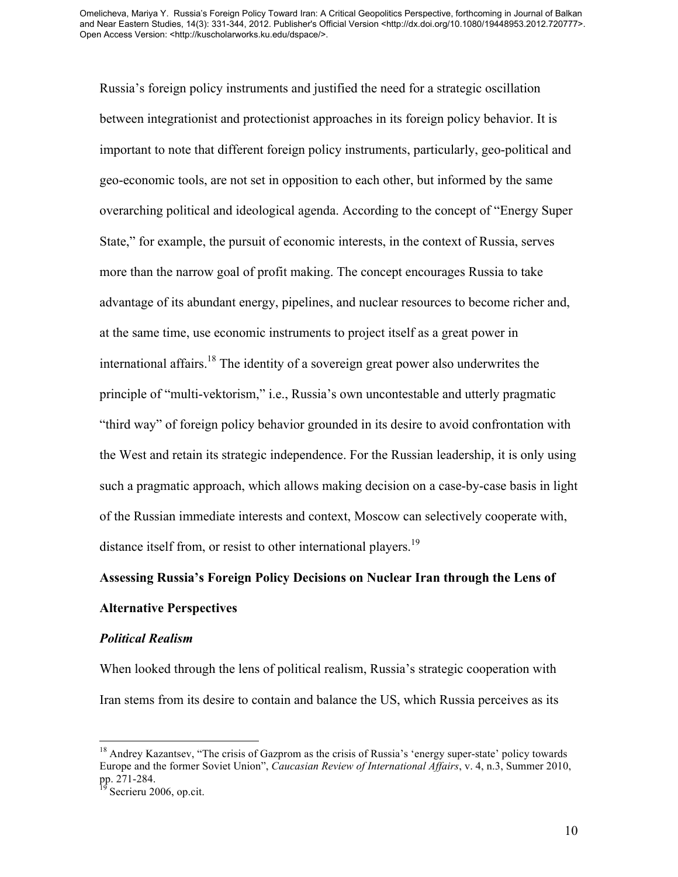Russia's foreign policy instruments and justified the need for a strategic oscillation between integrationist and protectionist approaches in its foreign policy behavior. It is important to note that different foreign policy instruments, particularly, geo-political and geo-economic tools, are not set in opposition to each other, but informed by the same overarching political and ideological agenda. According to the concept of "Energy Super State," for example, the pursuit of economic interests, in the context of Russia, serves more than the narrow goal of profit making. The concept encourages Russia to take advantage of its abundant energy, pipelines, and nuclear resources to become richer and, at the same time, use economic instruments to project itself as a great power in international affairs.<sup>18</sup> The identity of a sovereign great power also underwrites the principle of "multi-vektorism," i.e., Russia's own uncontestable and utterly pragmatic "third way" of foreign policy behavior grounded in its desire to avoid confrontation with the West and retain its strategic independence. For the Russian leadership, it is only using such a pragmatic approach, which allows making decision on a case-by-case basis in light of the Russian immediate interests and context, Moscow can selectively cooperate with, distance itself from, or resist to other international players.<sup>19</sup>

#### **Assessing Russia's Foreign Policy Decisions on Nuclear Iran through the Lens of**

### **Alternative Perspectives**

#### *Political Realism*

When looked through the lens of political realism, Russia's strategic cooperation with Iran stems from its desire to contain and balance the US, which Russia perceives as its

<sup>&</sup>lt;sup>18</sup> Andrey Kazantsev, "The crisis of Gazprom as the crisis of Russia's 'energy super-state' policy towards Europe and the former Soviet Union", *Caucasian Review of International Affairs*, v. 4, n.3, Summer 2010, pp. 271-284.<br><sup>19</sup> Secrieru 2006, op.cit.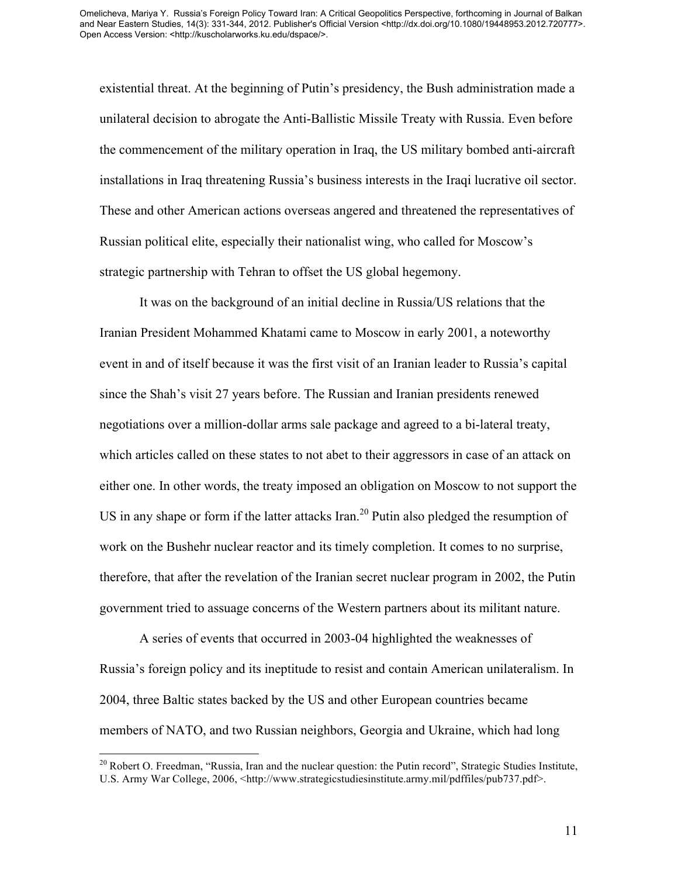existential threat. At the beginning of Putin's presidency, the Bush administration made a unilateral decision to abrogate the Anti-Ballistic Missile Treaty with Russia. Even before the commencement of the military operation in Iraq, the US military bombed anti-aircraft installations in Iraq threatening Russia's business interests in the Iraqi lucrative oil sector. These and other American actions overseas angered and threatened the representatives of Russian political elite, especially their nationalist wing, who called for Moscow's strategic partnership with Tehran to offset the US global hegemony.

It was on the background of an initial decline in Russia/US relations that the Iranian President Mohammed Khatami came to Moscow in early 2001, a noteworthy event in and of itself because it was the first visit of an Iranian leader to Russia's capital since the Shah's visit 27 years before. The Russian and Iranian presidents renewed negotiations over a million-dollar arms sale package and agreed to a bi-lateral treaty, which articles called on these states to not abet to their aggressors in case of an attack on either one. In other words, the treaty imposed an obligation on Moscow to not support the US in any shape or form if the latter attacks Iran.<sup>20</sup> Putin also pledged the resumption of work on the Bushehr nuclear reactor and its timely completion. It comes to no surprise, therefore, that after the revelation of the Iranian secret nuclear program in 2002, the Putin government tried to assuage concerns of the Western partners about its militant nature.

A series of events that occurred in 2003-04 highlighted the weaknesses of Russia's foreign policy and its ineptitude to resist and contain American unilateralism. In 2004, three Baltic states backed by the US and other European countries became members of NATO, and two Russian neighbors, Georgia and Ukraine, which had long

<sup>&</sup>lt;sup>20</sup> Robert O. Freedman, "Russia, Iran and the nuclear question: the Putin record", Strategic Studies Institute, U.S. Army War College, 2006, <http://www.strategicstudiesinstitute.army.mil/pdffiles/pub737.pdf>.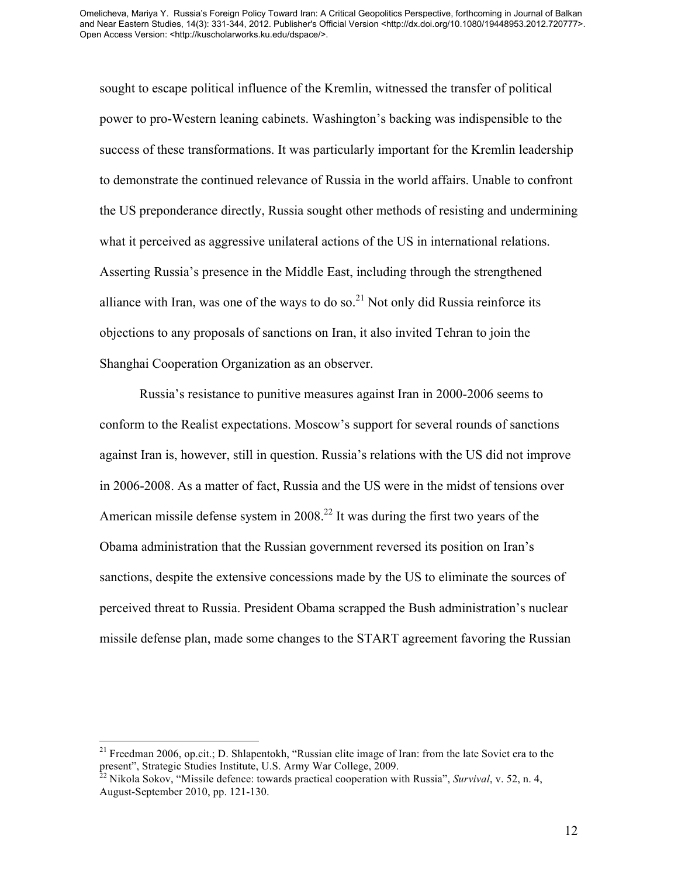sought to escape political influence of the Kremlin, witnessed the transfer of political power to pro-Western leaning cabinets. Washington's backing was indispensible to the success of these transformations. It was particularly important for the Kremlin leadership to demonstrate the continued relevance of Russia in the world affairs. Unable to confront the US preponderance directly, Russia sought other methods of resisting and undermining what it perceived as aggressive unilateral actions of the US in international relations. Asserting Russia's presence in the Middle East, including through the strengthened alliance with Iran, was one of the ways to do so.<sup>21</sup> Not only did Russia reinforce its objections to any proposals of sanctions on Iran, it also invited Tehran to join the Shanghai Cooperation Organization as an observer.

Russia's resistance to punitive measures against Iran in 2000-2006 seems to conform to the Realist expectations. Moscow's support for several rounds of sanctions against Iran is, however, still in question. Russia's relations with the US did not improve in 2006-2008. As a matter of fact, Russia and the US were in the midst of tensions over American missile defense system in  $2008<sup>22</sup>$  It was during the first two years of the Obama administration that the Russian government reversed its position on Iran's sanctions, despite the extensive concessions made by the US to eliminate the sources of perceived threat to Russia. President Obama scrapped the Bush administration's nuclear missile defense plan, made some changes to the START agreement favoring the Russian

<sup>&</sup>lt;sup>21</sup> Freedman 2006, op.cit.; D. Shlapentokh, "Russian elite image of Iran: from the late Soviet era to the present", Strategic Studies Institute, U.S. Army War College, 2009. <sup>22</sup> Nikola Sokov, "Missile defence: towards practical cooperation with Russia", *Survival*, v. 52, n. 4,

August-September 2010, pp. 121-130.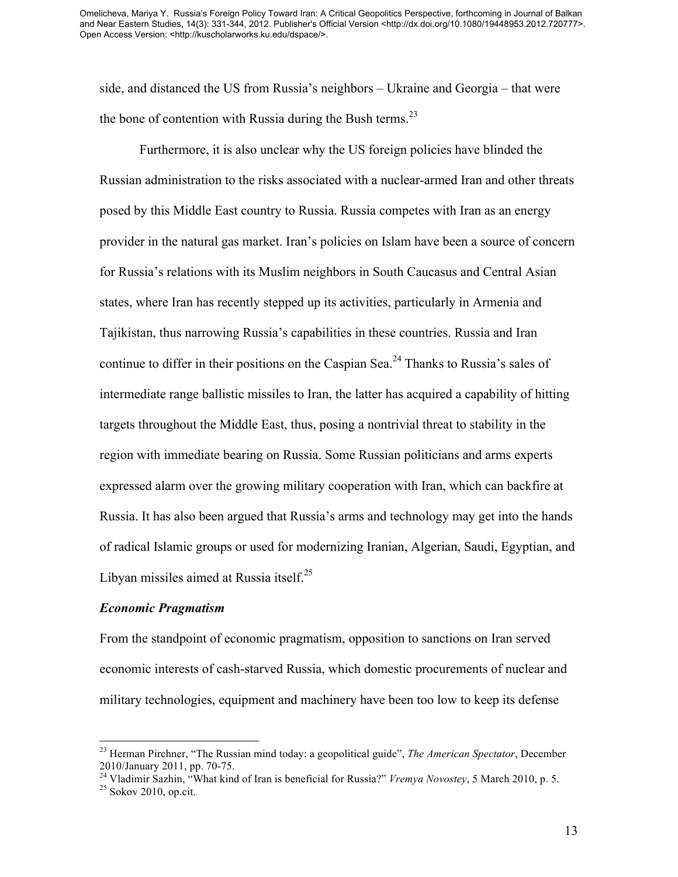side, and distanced the US from Russia's neighbors – Ukraine and Georgia – that were the bone of contention with Russia during the Bush terms.<sup>23</sup>

Furthermore, it is also unclear why the US foreign policies have blinded the Russian administration to the risks associated with a nuclear-armed Iran and other threats posed by this Middle East country to Russia. Russia competes with Iran as an energy provider in the natural gas market. Iran's policies on Islam have been a source of concern for Russia's relations with its Muslim neighbors in South Caucasus and Central Asian states, where Iran has recently stepped up its activities, particularly in Armenia and Tajikistan, thus narrowing Russia's capabilities in these countries. Russia and Iran continue to differ in their positions on the Caspian Sea.<sup>24</sup> Thanks to Russia's sales of intermediate range ballistic missiles to Iran, the latter has acquired a capability of hitting targets throughout the Middle East, thus, posing a nontrivial threat to stability in the region with immediate bearing on Russia. Some Russian politicians and arms experts expressed alarm over the growing military cooperation with Iran, which can backfire at Russia. It has also been argued that Russia's arms and technology may get into the hands of radical Islamic groups or used for modernizing Iranian, Algerian, Saudi, Egyptian, and Libyan missiles aimed at Russia itself. $25$ 

### *Economic Pragmatism*

From the standpoint of economic pragmatism, opposition to sanctions on Iran served economic interests of cash-starved Russia, which domestic procurements of nuclear and military technologies, equipment and machinery have been too low to keep its defense

 <sup>23</sup> Herman Pirchner, "The Russian mind today: a geopolitical guide", *The American Spectator*, December 2010/January 2011, pp. 70-75. <sup>24</sup> Vladimir Sazhin, "What kind of Iran is beneficial for Russia?" *Vremya Novostey*, 5 March 2010, p. 5. <sup>25</sup> Sokov 2010, op.cit.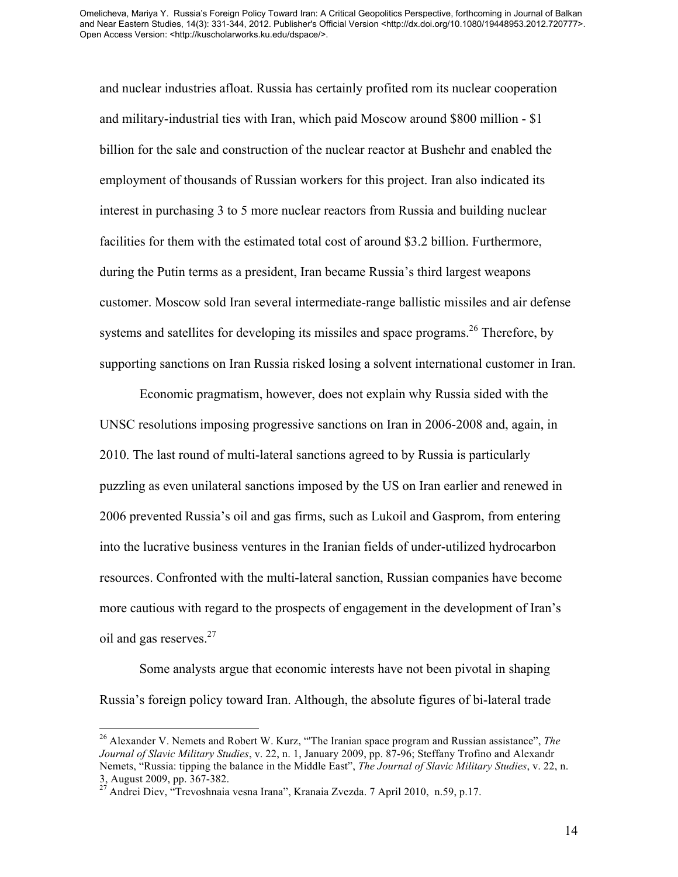and nuclear industries afloat. Russia has certainly profited rom its nuclear cooperation and military-industrial ties with Iran, which paid Moscow around \$800 million - \$1 billion for the sale and construction of the nuclear reactor at Bushehr and enabled the employment of thousands of Russian workers for this project. Iran also indicated its interest in purchasing 3 to 5 more nuclear reactors from Russia and building nuclear facilities for them with the estimated total cost of around \$3.2 billion. Furthermore, during the Putin terms as a president, Iran became Russia's third largest weapons customer. Moscow sold Iran several intermediate-range ballistic missiles and air defense systems and satellites for developing its missiles and space programs.<sup>26</sup> Therefore, by supporting sanctions on Iran Russia risked losing a solvent international customer in Iran.

Economic pragmatism, however, does not explain why Russia sided with the UNSC resolutions imposing progressive sanctions on Iran in 2006-2008 and, again, in 2010. The last round of multi-lateral sanctions agreed to by Russia is particularly puzzling as even unilateral sanctions imposed by the US on Iran earlier and renewed in 2006 prevented Russia's oil and gas firms, such as Lukoil and Gasprom, from entering into the lucrative business ventures in the Iranian fields of under-utilized hydrocarbon resources. Confronted with the multi-lateral sanction, Russian companies have become more cautious with regard to the prospects of engagement in the development of Iran's oil and gas reserves.<sup>27</sup>

Some analysts argue that economic interests have not been pivotal in shaping Russia's foreign policy toward Iran. Although, the absolute figures of bi-lateral trade

 <sup>26</sup> Alexander V. Nemets and Robert W. Kurz, "'The Iranian space program and Russian assistance", *The Journal of Slavic Military Studies*, v. 22, n. 1, January 2009, pp. 87-96; Steffany Trofino and Alexandr Nemets, "Russia: tipping the balance in the Middle East", *The Journal of Slavic Military Studies*, v. 22, n. 3, August 2009, pp. 367-382. <sup>27</sup> Andrei Diev, "Trevoshnaia vesna Irana", Kranaia Zvezda. 7 April 2010, n.59, p.17.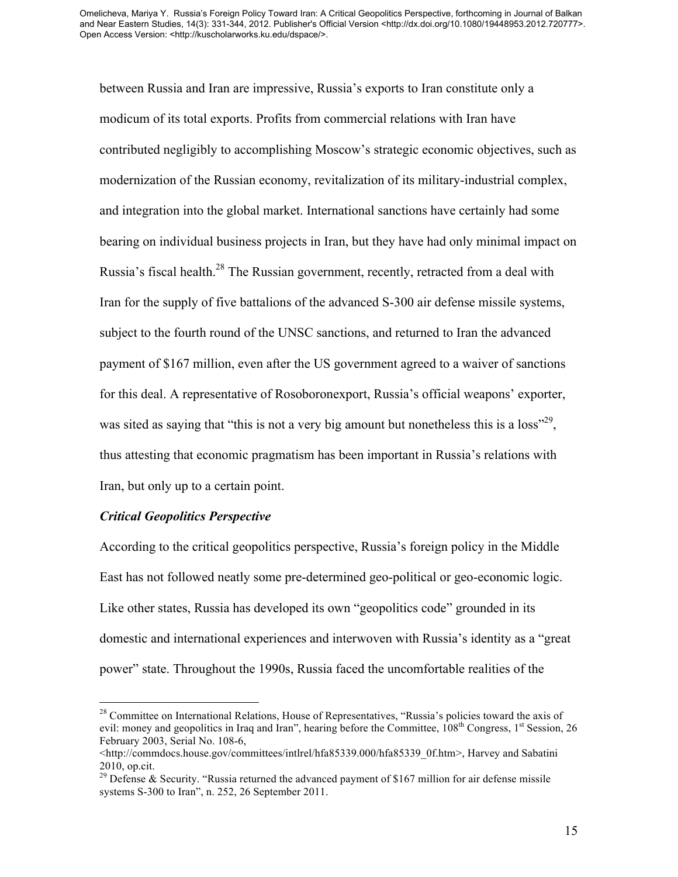between Russia and Iran are impressive, Russia's exports to Iran constitute only a modicum of its total exports. Profits from commercial relations with Iran have contributed negligibly to accomplishing Moscow's strategic economic objectives, such as modernization of the Russian economy, revitalization of its military-industrial complex, and integration into the global market. International sanctions have certainly had some bearing on individual business projects in Iran, but they have had only minimal impact on Russia's fiscal health.<sup>28</sup> The Russian government, recently, retracted from a deal with Iran for the supply of five battalions of the advanced S-300 air defense missile systems, subject to the fourth round of the UNSC sanctions, and returned to Iran the advanced payment of \$167 million, even after the US government agreed to a waiver of sanctions for this deal. A representative of Rosoboronexport, Russia's official weapons' exporter, was sited as saying that "this is not a very big amount but nonetheless this is a  $loss^{329}$ , thus attesting that economic pragmatism has been important in Russia's relations with Iran, but only up to a certain point.

## *Critical Geopolitics Perspective*

According to the critical geopolitics perspective, Russia's foreign policy in the Middle East has not followed neatly some pre-determined geo-political or geo-economic logic. Like other states, Russia has developed its own "geopolitics code" grounded in its domestic and international experiences and interwoven with Russia's identity as a "great power" state. Throughout the 1990s, Russia faced the uncomfortable realities of the

 $28$  Committee on International Relations, House of Representatives, "Russia's policies toward the axis of evil: money and geopolitics in Iraq and Iran", hearing before the Committee,  $108<sup>th</sup>$  Congress,  $1<sup>st</sup>$  Session, 26 February 2003, Serial No. 108-6,

<sup>&</sup>lt;http://commdocs.house.gov/committees/intlrel/hfa85339.000/hfa85339\_0f.htm>, Harvey and Sabatini

<sup>2010,</sup> op.cit.<br><sup>29</sup> Defense & Security. "Russia returned the advanced payment of \$167 million for air defense missile systems S-300 to Iran", n. 252, 26 September 2011.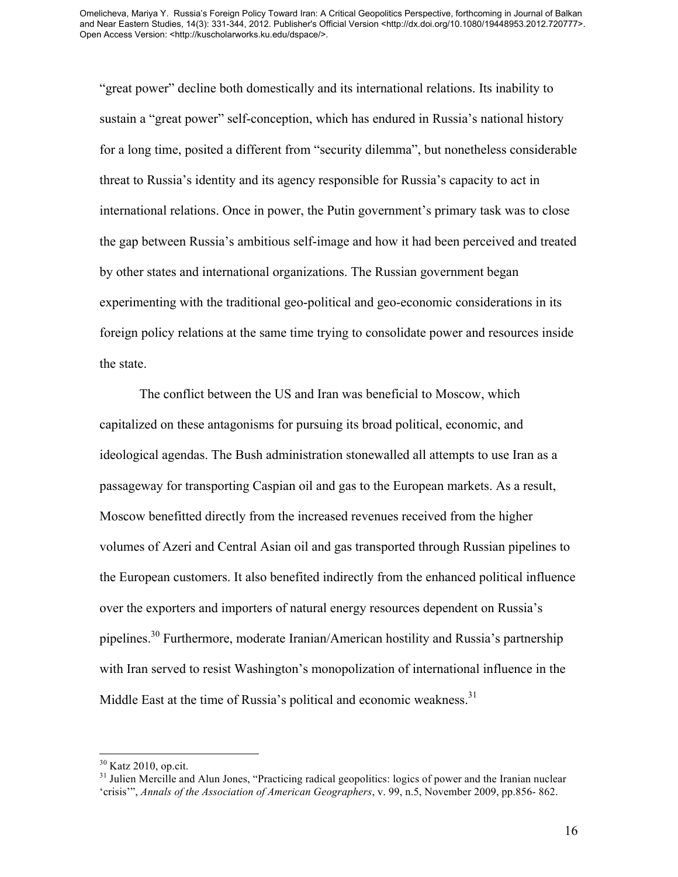"great power" decline both domestically and its international relations. Its inability to sustain a "great power" self-conception, which has endured in Russia's national history for a long time, posited a different from "security dilemma", but nonetheless considerable threat to Russia's identity and its agency responsible for Russia's capacity to act in international relations. Once in power, the Putin government's primary task was to close the gap between Russia's ambitious self-image and how it had been perceived and treated by other states and international organizations. The Russian government began experimenting with the traditional geo-political and geo-economic considerations in its foreign policy relations at the same time trying to consolidate power and resources inside the state.

The conflict between the US and Iran was beneficial to Moscow, which capitalized on these antagonisms for pursuing its broad political, economic, and ideological agendas. The Bush administration stonewalled all attempts to use Iran as a passageway for transporting Caspian oil and gas to the European markets. As a result, Moscow benefitted directly from the increased revenues received from the higher volumes of Azeri and Central Asian oil and gas transported through Russian pipelines to the European customers. It also benefited indirectly from the enhanced political influence over the exporters and importers of natural energy resources dependent on Russia's pipelines.<sup>30</sup> Furthermore, moderate Iranian/American hostility and Russia's partnership with Iran served to resist Washington's monopolization of international influence in the Middle East at the time of Russia's political and economic weakness.<sup>31</sup>

 $30$  Katz 2010, op.cit.<br> $31$  Julien Mercille and Alun Jones, "Practicing radical geopolitics: logics of power and the Iranian nuclear 'crisis'", *Annals of the Association of American Geographers*, v. 99, n.5, November 2009, pp.856- 862.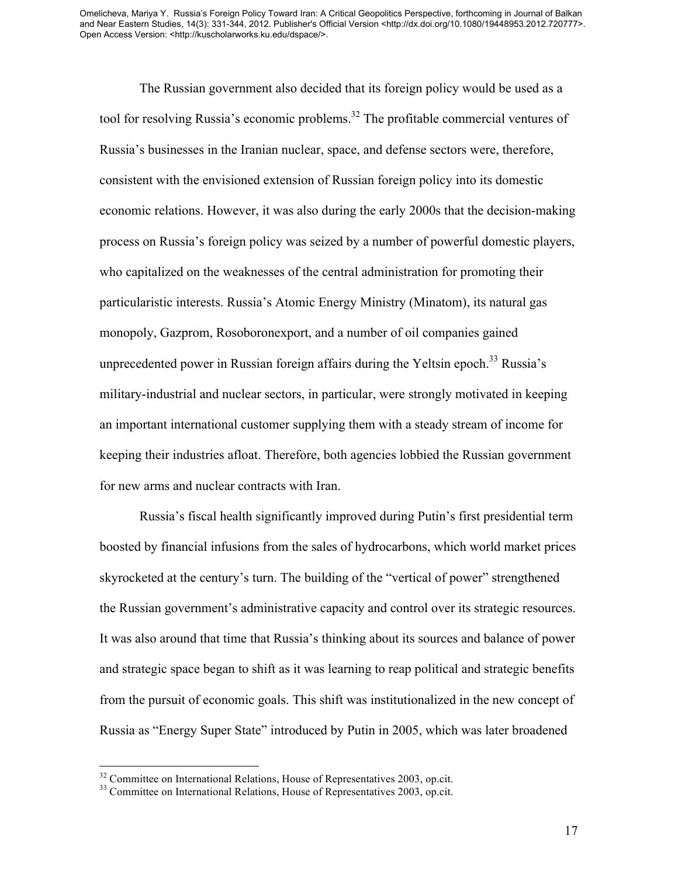The Russian government also decided that its foreign policy would be used as a tool for resolving Russia's economic problems. <sup>32</sup> The profitable commercial ventures of Russia's businesses in the Iranian nuclear, space, and defense sectors were, therefore, consistent with the envisioned extension of Russian foreign policy into its domestic economic relations. However, it was also during the early 2000s that the decision-making process on Russia's foreign policy was seized by a number of powerful domestic players, who capitalized on the weaknesses of the central administration for promoting their particularistic interests. Russia's Atomic Energy Ministry (Minatom), its natural gas monopoly, Gazprom, Rosoboronexport, and a number of oil companies gained unprecedented power in Russian foreign affairs during the Yeltsin epoch.<sup>33</sup> Russia's military-industrial and nuclear sectors, in particular, were strongly motivated in keeping an important international customer supplying them with a steady stream of income for keeping their industries afloat. Therefore, both agencies lobbied the Russian government for new arms and nuclear contracts with Iran.

Russia's fiscal health significantly improved during Putin's first presidential term boosted by financial infusions from the sales of hydrocarbons, which world market prices skyrocketed at the century's turn. The building of the "vertical of power" strengthened the Russian government's administrative capacity and control over its strategic resources. It was also around that time that Russia's thinking about its sources and balance of power and strategic space began to shift as it was learning to reap political and strategic benefits from the pursuit of economic goals. This shift was institutionalized in the new concept of Russia as "Energy Super State" introduced by Putin in 2005, which was later broadened

 $32^3$  Committee on International Relations, House of Representatives 2003, op.cit.  $33^3$  Committee on International Relations, House of Representatives 2003, op.cit.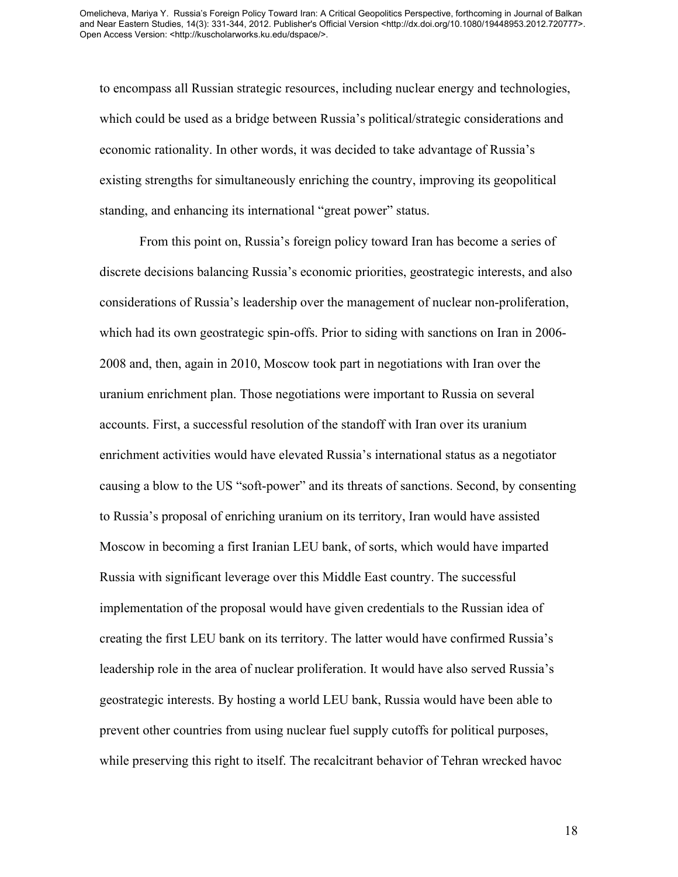to encompass all Russian strategic resources, including nuclear energy and technologies, which could be used as a bridge between Russia's political/strategic considerations and economic rationality. In other words, it was decided to take advantage of Russia's existing strengths for simultaneously enriching the country, improving its geopolitical standing, and enhancing its international "great power" status.

From this point on, Russia's foreign policy toward Iran has become a series of discrete decisions balancing Russia's economic priorities, geostrategic interests, and also considerations of Russia's leadership over the management of nuclear non-proliferation, which had its own geostrategic spin-offs. Prior to siding with sanctions on Iran in 2006- 2008 and, then, again in 2010, Moscow took part in negotiations with Iran over the uranium enrichment plan. Those negotiations were important to Russia on several accounts. First, a successful resolution of the standoff with Iran over its uranium enrichment activities would have elevated Russia's international status as a negotiator causing a blow to the US "soft-power" and its threats of sanctions. Second, by consenting to Russia's proposal of enriching uranium on its territory, Iran would have assisted Moscow in becoming a first Iranian LEU bank, of sorts, which would have imparted Russia with significant leverage over this Middle East country. The successful implementation of the proposal would have given credentials to the Russian idea of creating the first LEU bank on its territory. The latter would have confirmed Russia's leadership role in the area of nuclear proliferation. It would have also served Russia's geostrategic interests. By hosting a world LEU bank, Russia would have been able to prevent other countries from using nuclear fuel supply cutoffs for political purposes, while preserving this right to itself. The recalcitrant behavior of Tehran wrecked havoc

18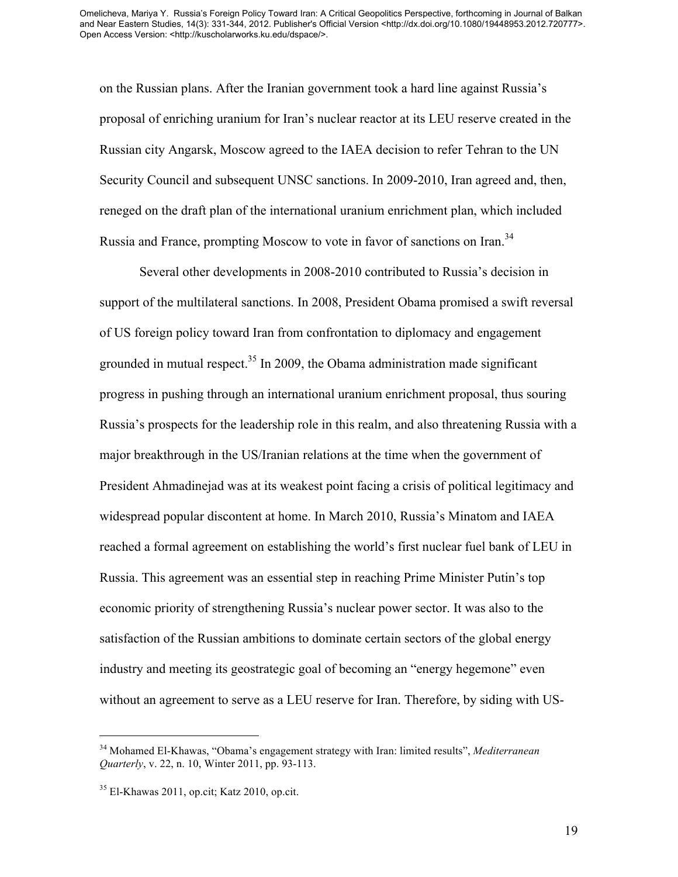on the Russian plans. After the Iranian government took a hard line against Russia's proposal of enriching uranium for Iran's nuclear reactor at its LEU reserve created in the Russian city Angarsk, Moscow agreed to the IAEA decision to refer Tehran to the UN Security Council and subsequent UNSC sanctions. In 2009-2010, Iran agreed and, then, reneged on the draft plan of the international uranium enrichment plan, which included Russia and France, prompting Moscow to vote in favor of sanctions on Iran.<sup>34</sup>

Several other developments in 2008-2010 contributed to Russia's decision in support of the multilateral sanctions. In 2008, President Obama promised a swift reversal of US foreign policy toward Iran from confrontation to diplomacy and engagement grounded in mutual respect.<sup>35</sup> In 2009, the Obama administration made significant progress in pushing through an international uranium enrichment proposal, thus souring Russia's prospects for the leadership role in this realm, and also threatening Russia with a major breakthrough in the US/Iranian relations at the time when the government of President Ahmadinejad was at its weakest point facing a crisis of political legitimacy and widespread popular discontent at home. In March 2010, Russia's Minatom and IAEA reached a formal agreement on establishing the world's first nuclear fuel bank of LEU in Russia. This agreement was an essential step in reaching Prime Minister Putin's top economic priority of strengthening Russia's nuclear power sector. It was also to the satisfaction of the Russian ambitions to dominate certain sectors of the global energy industry and meeting its geostrategic goal of becoming an "energy hegemone" even without an agreement to serve as a LEU reserve for Iran. Therefore, by siding with US-

 <sup>34</sup> Mohamed El-Khawas, "Obama's engagement strategy with Iran: limited results", *Mediterranean Quarterly*, v. 22, n. 10, Winter 2011, pp. 93-113.

 $35$  El-Khawas 2011, op.cit; Katz 2010, op.cit.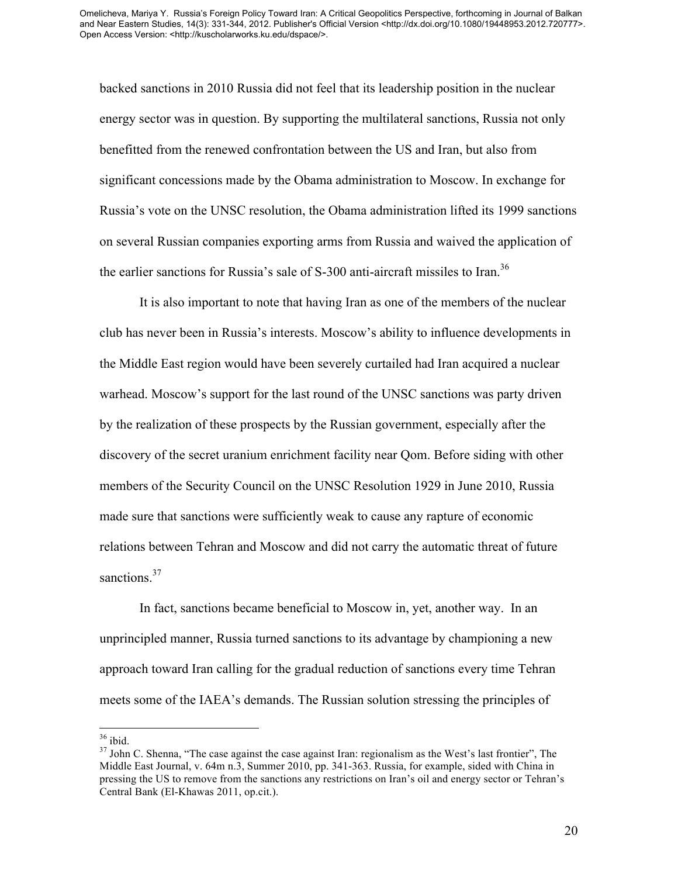backed sanctions in 2010 Russia did not feel that its leadership position in the nuclear energy sector was in question. By supporting the multilateral sanctions, Russia not only benefitted from the renewed confrontation between the US and Iran, but also from significant concessions made by the Obama administration to Moscow. In exchange for Russia's vote on the UNSC resolution, the Obama administration lifted its 1999 sanctions on several Russian companies exporting arms from Russia and waived the application of the earlier sanctions for Russia's sale of S-300 anti-aircraft missiles to Iran.<sup>36</sup>

It is also important to note that having Iran as one of the members of the nuclear club has never been in Russia's interests. Moscow's ability to influence developments in the Middle East region would have been severely curtailed had Iran acquired a nuclear warhead. Moscow's support for the last round of the UNSC sanctions was party driven by the realization of these prospects by the Russian government, especially after the discovery of the secret uranium enrichment facility near Qom. Before siding with other members of the Security Council on the UNSC Resolution 1929 in June 2010, Russia made sure that sanctions were sufficiently weak to cause any rapture of economic relations between Tehran and Moscow and did not carry the automatic threat of future sanctions.<sup>37</sup>

In fact, sanctions became beneficial to Moscow in, yet, another way. In an unprincipled manner, Russia turned sanctions to its advantage by championing a new approach toward Iran calling for the gradual reduction of sanctions every time Tehran meets some of the IAEA's demands. The Russian solution stressing the principles of

 $\frac{36}{37}$  John C. Shenna, "The case against the case against Iran: regionalism as the West's last frontier", The Middle East Journal, v. 64m n.3, Summer 2010, pp. 341-363. Russia, for example, sided with China in pressing the US to remove from the sanctions any restrictions on Iran's oil and energy sector or Tehran's Central Bank (El-Khawas 2011, op.cit.).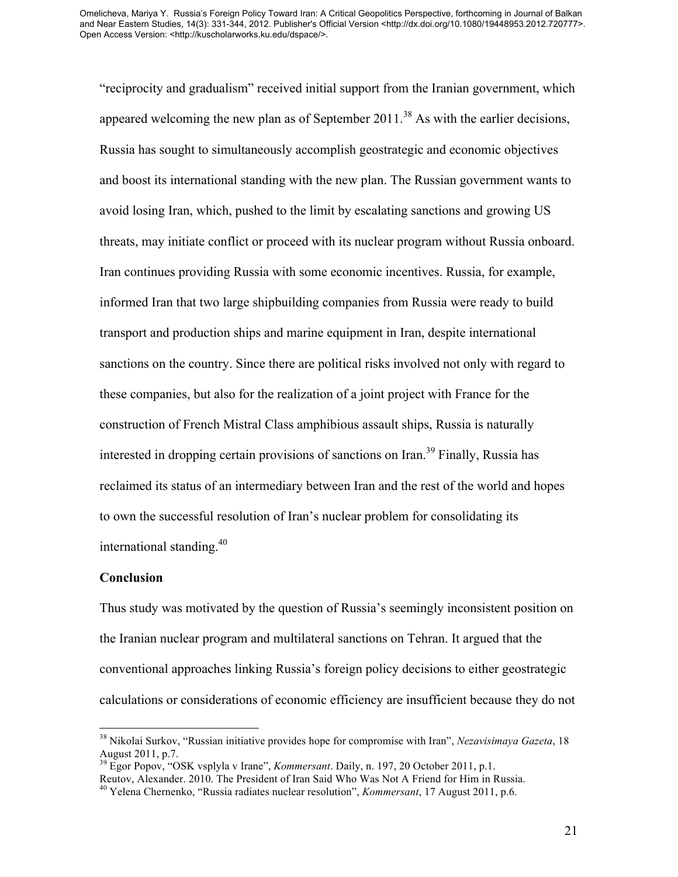"reciprocity and gradualism" received initial support from the Iranian government, which appeared welcoming the new plan as of September  $2011$ <sup>38</sup> As with the earlier decisions, Russia has sought to simultaneously accomplish geostrategic and economic objectives and boost its international standing with the new plan. The Russian government wants to avoid losing Iran, which, pushed to the limit by escalating sanctions and growing US threats, may initiate conflict or proceed with its nuclear program without Russia onboard. Iran continues providing Russia with some economic incentives. Russia, for example, informed Iran that two large shipbuilding companies from Russia were ready to build transport and production ships and marine equipment in Iran, despite international sanctions on the country. Since there are political risks involved not only with regard to these companies, but also for the realization of a joint project with France for the construction of French Mistral Class amphibious assault ships, Russia is naturally interested in dropping certain provisions of sanctions on Iran.<sup>39</sup> Finally, Russia has reclaimed its status of an intermediary between Iran and the rest of the world and hopes to own the successful resolution of Iran's nuclear problem for consolidating its international standing. 40

#### **Conclusion**

Thus study was motivated by the question of Russia's seemingly inconsistent position on the Iranian nuclear program and multilateral sanctions on Tehran. It argued that the conventional approaches linking Russia's foreign policy decisions to either geostrategic calculations or considerations of economic efficiency are insufficient because they do not

 <sup>38</sup> Nikolai Surkov, "Russian initiative provides hope for compromise with Iran", *Nezavisimaya Gazeta*, 18 August 2011, p.7. <sup>39</sup> Egor Popov, "OSK vsplyla v Irane", *Kommersant*. Daily, n. 197, 20 October 2011, p.1.

Reutov, Alexander. 2010. The President of Iran Said Who Was Not A Friend for Him in Russia.

<sup>40</sup> Yelena Chernenko, "Russia radiates nuclear resolution", *Kommersant*, 17 August 2011, p.6.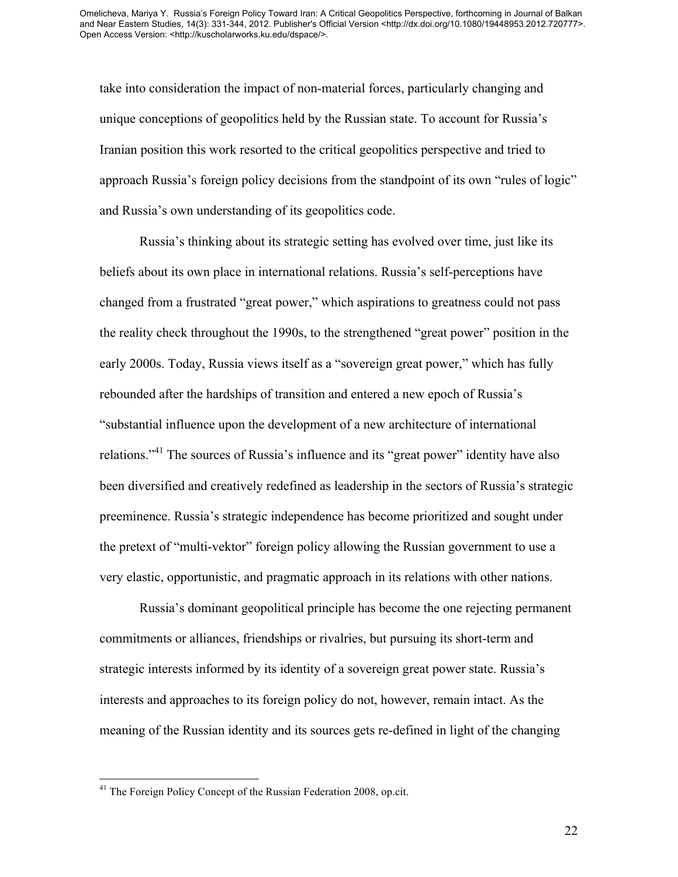take into consideration the impact of non-material forces, particularly changing and unique conceptions of geopolitics held by the Russian state. To account for Russia's Iranian position this work resorted to the critical geopolitics perspective and tried to approach Russia's foreign policy decisions from the standpoint of its own "rules of logic" and Russia's own understanding of its geopolitics code.

Russia's thinking about its strategic setting has evolved over time, just like its beliefs about its own place in international relations. Russia's self-perceptions have changed from a frustrated "great power," which aspirations to greatness could not pass the reality check throughout the 1990s, to the strengthened "great power" position in the early 2000s. Today, Russia views itself as a "sovereign great power," which has fully rebounded after the hardships of transition and entered a new epoch of Russia's "substantial influence upon the development of a new architecture of international relations."<sup>41</sup> The sources of Russia's influence and its "great power" identity have also been diversified and creatively redefined as leadership in the sectors of Russia's strategic preeminence. Russia's strategic independence has become prioritized and sought under the pretext of "multi-vektor" foreign policy allowing the Russian government to use a very elastic, opportunistic, and pragmatic approach in its relations with other nations.

Russia's dominant geopolitical principle has become the one rejecting permanent commitments or alliances, friendships or rivalries, but pursuing its short-term and strategic interests informed by its identity of a sovereign great power state. Russia's interests and approaches to its foreign policy do not, however, remain intact. As the meaning of the Russian identity and its sources gets re-defined in light of the changing

<sup>&</sup>lt;sup>41</sup> The Foreign Policy Concept of the Russian Federation 2008, op.cit.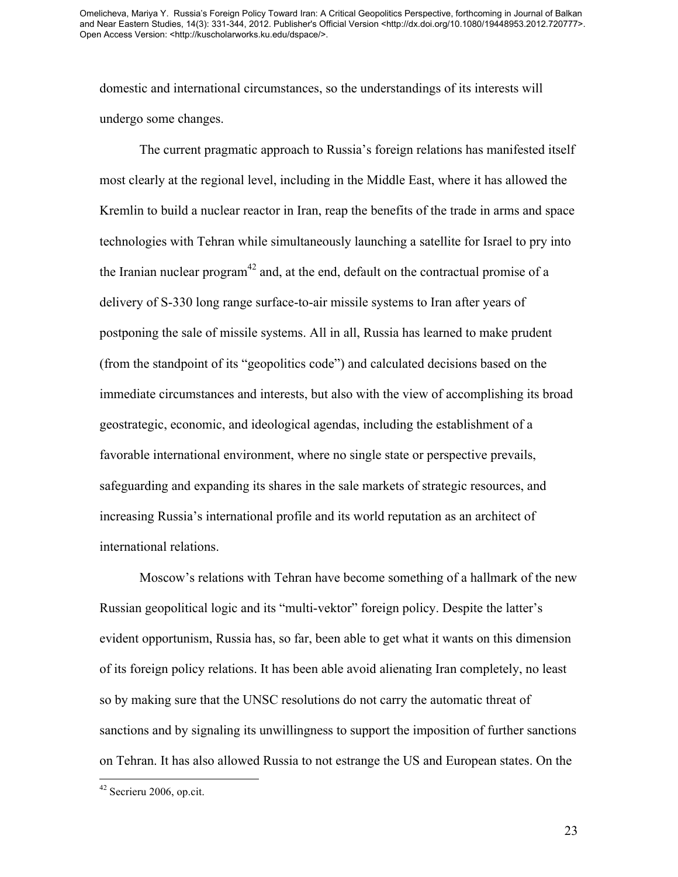domestic and international circumstances, so the understandings of its interests will undergo some changes.

The current pragmatic approach to Russia's foreign relations has manifested itself most clearly at the regional level, including in the Middle East, where it has allowed the Kremlin to build a nuclear reactor in Iran, reap the benefits of the trade in arms and space technologies with Tehran while simultaneously launching a satellite for Israel to pry into the Iranian nuclear program<sup>42</sup> and, at the end, default on the contractual promise of a delivery of S-330 long range surface-to-air missile systems to Iran after years of postponing the sale of missile systems. All in all, Russia has learned to make prudent (from the standpoint of its "geopolitics code") and calculated decisions based on the immediate circumstances and interests, but also with the view of accomplishing its broad geostrategic, economic, and ideological agendas, including the establishment of a favorable international environment, where no single state or perspective prevails, safeguarding and expanding its shares in the sale markets of strategic resources, and increasing Russia's international profile and its world reputation as an architect of international relations.

Moscow's relations with Tehran have become something of a hallmark of the new Russian geopolitical logic and its "multi-vektor" foreign policy. Despite the latter's evident opportunism, Russia has, so far, been able to get what it wants on this dimension of its foreign policy relations. It has been able avoid alienating Iran completely, no least so by making sure that the UNSC resolutions do not carry the automatic threat of sanctions and by signaling its unwillingness to support the imposition of further sanctions on Tehran. It has also allowed Russia to not estrange the US and European states. On the

23

 <sup>42</sup> Secrieru 2006, op.cit.